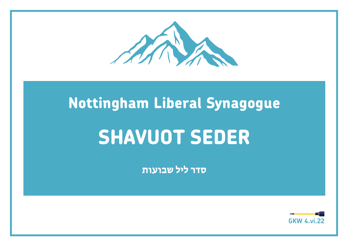

## **Nottingham Liberal Synagogue**

# **SHAVUOT SEDER**

 **סדר ליל שבועות**

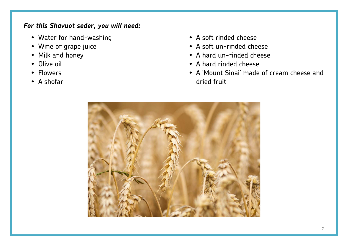#### *For this Shavuot seder, you will need:*

- Water for hand-washing
- Wine or grape juice
- Milk and honey
- Olive oil
- •Flowers
- A shofar
- A soft rinded cheese
- A soft un-rinded cheese
- A hard un-rinded cheese
- A hard rinded cheese
- A 'Mount Sinai' made of cream cheese and dried fruit

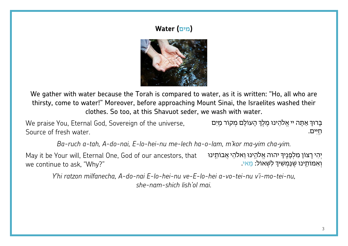### **(מים) Water**



We gather with water because the Torah is compared to water, as it is written: "Ho, all who are thirsty, come to water!" Moreover, before approaching Mount Sinai, the Israelites washed their clothes. So too, at this Shavuot seder, we wash with water.

We praise You, Eternal God, Sovereign of the universe, חַ ֽ ּיִ ים. ּ בָּ רוך ֹו ֹ לָ ם מְ קור מַ ֽ יִ ם ְ ּ אַ <sup>ת</sup> ּ ָ ה יי אֱ לֹהֵ ינו מֶ לֶ ךְ הָ <sup>ע</sup> Source of fresh water.

*Ba-ruch a-tah, A-do-nai, E-lo-hei-nu me-lech ha-o-lam, m'kor ma*-*yim cha*-*yim.*

May it be Your will, Eternal One, God of our ancestors, that we continue to ask, "Why?" ּיְהִי רָצוֹן מִלְפָּנֶיךָּ יהוה אֱלֹהֵינוּ וֵאלֹהֵי אֲבוֹתֵינוּ Your will, Eternal One, God of our ancestors, that<br>pue to ask, "Why?"<br>*Y'hi ratzon milfanecha. A-do-nai E-lo-hei-nu ve-E-lo-hei a-vo-tei-nu v'i-mo-tei-nu*.

*she-nam-shich lish'ol mai.*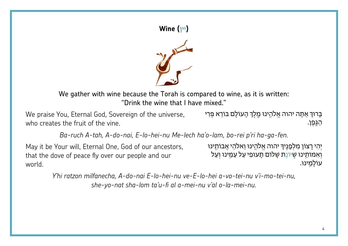

We gather with wine because the Torah is compared to wine, as it is written: "Drink the wine that I have mixed."

ערוּף אַתָּה יהוה אֱלֹהֵינוּ מֶלֶךְּ הָעוֹלָם בּוֹרֵא פְּרִי ve praise You, Eternal God, Sovereign of the universe, who creates the fruit of the vine. ַהַנֶּפֵן.

Ba-ruch A-tah, A-do-nai, E-lo-hei-nu Me-lech ha'o-lam, bo-rei p'ri ha-ga-fen.

May it be Your will, Eternal One, God of our ancestors, that the dove of peace fly over our people and our world.

יְהִי רָצוֹן מִלְפָנֶיךָ יהוה אֱלֹהֵינוּ וֵאלֹהֵי אֲבוֹתֵינוּ וְאִמּוֹחֵינוּ שֵׁיּוֹנֶת שָׁלוֹם תָעוּפִי עַל עַמֵינוּ וְעַל עוֹלמינוּ.

Y'hi ratzon milfanecha. A-do-nai E-lo-hei-nu ve-E-lo-hei a-vo-tei-nu v'i-mo-tei-nu. she-yo-nat sha-lom ta'u-fi al a-mei-nu v'al o-la-mei-nu.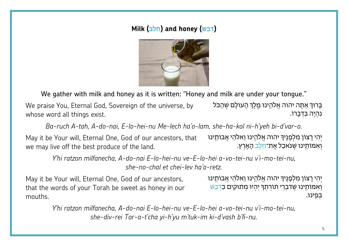#### **Milk (חלב (and honey (דבש(**



We gather with milk and honey as it is written: "Honey and milk are under your tongue."

We praise You, Eternal God, Sovereign of the universe, by whose word all things exist. *.o-var'd-bi yeh'h-ni kol-ha-she ,lam-o'ha lech-Me nu-hei-lo-E ,nai-do-A ,tah-A ruch-Ba* ֹ נִ הְ יֶ ה בִּ דְ בָ רו. ּ בָּ רוךְ ּ אַ <sup>ת</sup> ּ ָ ה יהוה אֱ לֹהֵ ֽ ינו מֶ ֽ לֶ ךְ ֹ הָ עו ׁ לָ ם שֶ הַ כּ ֹל

May it be Your will, Eternal One, God of our ancestors, that we may live off the best produce of the land. ּיְהִי רָצוֹן מִלְפָּנֶיּךָּ יהוה אֱלֹהֵינוּ וֵאלֹהֵי אֲבוֹתֵינוּ Your will, Eternal One, God of our ancestors, that<br>ive off the best produce of the land.<br>Y'hi ratzon milfanecha. A-do-nai E-lo-hei-nu ve-E-lo-hei a-vo-tei-

*she-no-chal et chei-lev ha'a-retz.*

May it be Your will, Eternal One, God of our ancestors, that the words of your Torah be sweet as honey in our mouths.

וְאִמּוֹתֵינוּ שֵׁדְּבְרֵי תוֹרְתִךְ יִהְיוּ מִתוּקִים כִּדְבַשׁ ְיִהִי רָצוֹן מִלְפָנֵיךְ יהוה אֱלֹהֱינוּ וֵאלֹהֵי אֲבוֹתֵינוּ בּפִינוּ.

*Y'hi ratzon milfanecha, A-do-nai E-lo-hei-nu ve-E-lo-hei a-vo-tei-nu v'i-mo-tei-nu,she-div-rei Tor-a-t'cha yi-h'yu m'tuk-im ki-d'vash b'fi-nu.*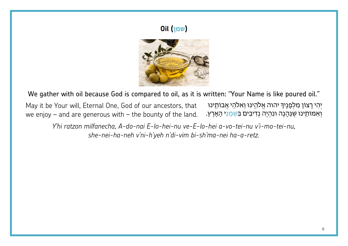### **Oil (שמן**



We gather with oil because God is compared to oil, as it is written: "Your Name is like poured oil."

יִהִי רָצוֹן מִלְפָנֵיךְ יהוה אֱלֹהֱינוּ וֵאלֹהֵי אֲבוֹתֵינוּ May it be Your will, Eternal One, God of our ancestors, that וְאִמּוֹתֵינוּ שֶׁנֵּהָנֶה ונִהְיֶה נְדִיבִים בִּשְְׁמַנֵּי הָאָרֶץ. we enjoy  $-$  and are generous with  $-$  the bounty of the land.

Y'hi ratzon milfanecha, A-do-nai E-lo-hei-nu ve-E-lo-hei a-vo-tei-nu v'i-mo-tei-nu, she-nei-ha-neh v'ni-h'yeh n'di-vim bi-sh'ma-nei ha-a-retz.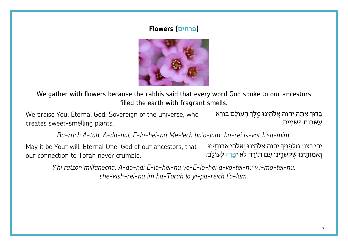#### **(פרחים) Flowers**



We gather with flowers because the rabbis said that every word God spoke to our ancestors filled the earth with fragrant smells.

We praise You, Eternal God, Sovereign of the universe, who creates sweet-smelling plants. צְרוּךְּ אַתָּה יהוה אֱלֹהֵינוּ מֶלֶךְּ הָעוֹלָם בּוֹרֵא - You, Eternal God, Sovereign of the universe, who<br>יפשָׂמִים.<br>Ba-ruch A-tah, A-do-nai, E-lo-hei-nu Me-lech ha'o-lam, bo-rei is-vot b'sa-mim.

May it be Your will, Eternal One, God of our ancestors, that our connection to Torah never crumble. ְיְהִי רָצוֹן מִלְפָנֶיךָ יהוה אֱלֹהֵינוּ וֵאלֹהֵי אֲבוֹתֵינוּ ection to Torah never crumble.<br>Y'hi ratzon milfanecha, A-do-nai E-lo-hei-nu ve-E-lo-hei a-vo-tei-nu v'i-mo-tei-nu,

*she-kish-rei-nu im ha-Torah lo yi-pa-reich l'o-lam.*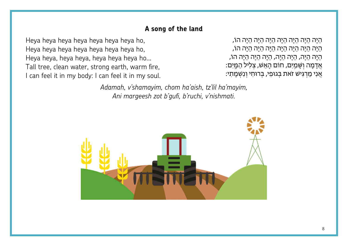#### **A song of the land**

Heya heya heya heya heya heya heya ho,Heya heya heya heya heya heya heya ho,Heya heya, heya heya, heya heya heya ho… Tall tree, clean water, strong earth, warm fire, I can feel it in my body: I can feel it in my soul.

הֵיָה הֵיָה הֵיָה הֵיָה הֵיָה הֵיָה הֵיָה הֵיָה הוֹ,<br>הֵיָה הֵיָה הֵיָה הֵיָה הֵיָה הֵיָה הֵיָה הֵיָה הֹוָ,<br>הֵיַה הֶיַה, הֵיַה הֵיַה, הֵיַה הֵיֵה הֵיָה הֵיָה הוֹ, ּאֲדָמָה וְשָּׁמַיִם, חוֹם הָאֵשׁ, צְלִיל הַמֶּיִם:

can feel it in my soul.<br>*'אֲ נִי מַן דְּגִישׁ* זֹאת בְּגוּפִי, בְּרוּחִי וְנִשְׁמָתִי:<br>Adamah, v'shamayim, chom ha'aish, tz'lil ha'mayim, *Ani margeesh zot b'gufi, b'ruchi, v'nishmati.*

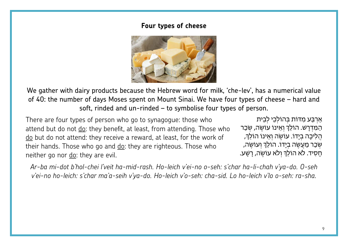#### **Four types of cheese**



We gather with dairy products because the Hebrew word for milk, 'che-lev', has a numerical value of 40: the number of days Moses spent on Mount Sinai. We have four types of cheese – hard and soft, rinded and un-rinded – to symbolise four types of person.

There are four types of person who go to synagogue: those who attend but do not do: they benefit, at least, from attending. Those who do but do not attend: they receive a reward, at least, for the work of their hands. Those who go and  $\underline{do}$ : they are righteous. Those who neither go nor do: they are evil.

אַרְבַּע מִדּוֹת בְּהוֹלְכֵי לְבֵית<br>הַמִּדְרָשׁ. הוֹלֵךְ וְאֵינוֹ עוֹשֶׂה, שְׂכַר ְהֲלִיכָה בְיָדוֹ. עוֹשֶׂה וְאֵינוֹ הוֹלֵךְ, ְשְׂבַר מַעֲשֶׂה בִיָדוֹ. הוֹלֵךְ וְעוֹשֵׂה, ּ חָסִיד. לֹא הוֹלֵךְ וְלֹא עוֹשֶׂה, רָשָׁע.

*Ar-ba mi-dot b'hol-chei l'veit ha-mid-rash. Ho-leich v'ei-no o-seh: s'char ha-li-chah v'ya-do. O-seh v'ei-no ho-leich: s'char ma'a-seih v'ya-do. Ho-leich v'o-seh: cha-sid. Lo ho-leich v'lo o-seh: ra-sha.*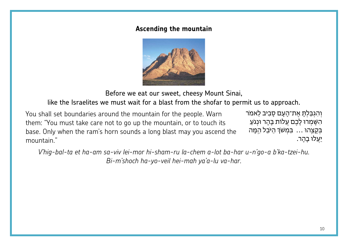#### **Ascending the mountain**



Before we eat our sweet, cheesy Mount Sinai,

like the Israelites we must wait for a blast from the shofar to permit us to approach.

You shall set boundaries around the mountain for the people. Warn them: "You must take care not to go up the mountain, or to touch its base. Only when the ram's horn sounds a long blast may you ascend the mountain." shall set boundaries around the mountain for the people. Warn<br>הִשָּׁמְרוּ לָכֶם עֲלוֹת בָּהָר וּנְגֹעַ<br>- Ally when the ram's horn sounds a long blast may you ascend the<br>- בְּקַצְהוּ ... בִּמְשֹׁךְּ הַיֹּבֵל הֵמָּה<br>יַעֲלוּ

*Bi-m'shoch ha-yo-veil hei-mah ya'a-lu va-har.*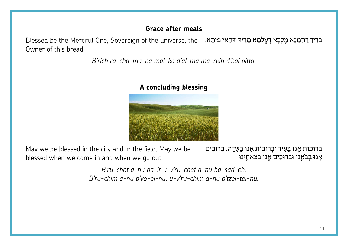#### **Grace after meals**

Blessed be the Merciful One, Sovereign of the universe, the . בְּרִיךְ רַחֲמֶנָא מַלְכָּא דְעָלְמָא מָלְבָא Owner of this bread.

*B'rich ra-cha-ma-na mal-ka d'al-ma ma-reih d'hai pitta.*



#### **A concluding blessing**

May we be blessed in the city and in the field. May we be blessed when we come in and when we go out.  *.eh-sad-ba nu-a chot-ru'v-u ir-ba nu-a chot-ru'B* ּאָ ֽ נו ּ בְּ בֹאֵ ֽ נו ּו ּ בְ רו ּ כִ ים אָ ֽ נו ּ בְּ צֵ אתֵ ֽ ינו. ּ בְּ רוכֹו ּ ת אָ ֽ נו בָּ עִ יר ּו ּ בְ רוכֹו ּ ת אָ ֽ נו ּ ׂ בַּ שָ דֶ ה. ּ בְּ רוכִ ים

*B'ru-chim a-nu b'vo-ei-nu, u-v'ru-chim a-nu b'tzei-tei-nu.*